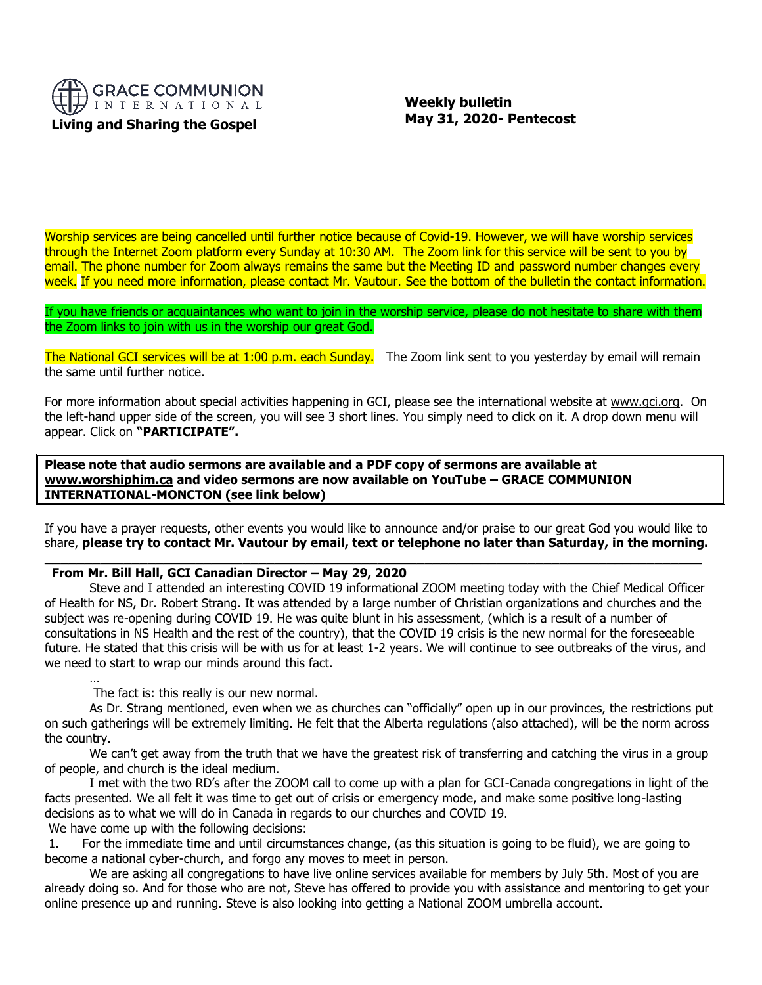

 **Weekly bulletin May 31, 2020- Pentecost**

Worship services are being cancelled until further notice because of Covid-19. However, we will have worship services through the Internet Zoom platform every Sunday at 10:30 AM. The Zoom link for this service will be sent to you by email. The phone number for Zoom always remains the same but the Meeting ID and password number changes every week. If you need more information, please contact Mr. Vautour. See the bottom of the bulletin the contact information.

If you have friends or acquaintances who want to join in the worship service, please do not hesitate to share with them the Zoom links to join with us in the worship our great God.

The National GCI services will be at 1:00 p.m. each Sunday. The Zoom link sent to you yesterday by email will remain the same until further notice.

For more information about special activities happening in GCI, please see the international website at [www.gci.org.](http://www.gci.org/) On the left-hand upper side of the screen, you will see 3 short lines. You simply need to click on it. A drop down menu will appear. Click on **"PARTICIPATE".** 

**Please note that audio sermons are available and a PDF copy of sermons are available at [www.worshiphim.ca](http://www.worshiphim.ca/) and video sermons are now available on YouTube – GRACE COMMUNION INTERNATIONAL-MONCTON (see link below)**

If you have a prayer requests, other events you would like to announce and/or praise to our great God you would like to share, **please try to contact Mr. Vautour by email, text or telephone no later than Saturday, in the morning. \_\_\_\_\_\_\_\_\_\_\_\_\_\_\_\_\_\_\_\_\_\_\_\_\_\_\_\_\_\_\_\_\_\_\_\_\_\_\_\_\_\_\_\_\_\_\_\_\_\_\_\_\_\_\_\_\_\_\_\_\_\_\_\_\_\_\_\_\_\_\_\_\_\_\_\_\_\_\_\_\_\_\_**

## **From Mr. Bill Hall, GCI Canadian Director – May 29, 2020**

Steve and I attended an interesting COVID 19 informational ZOOM meeting today with the Chief Medical Officer of Health for NS, Dr. Robert Strang. It was attended by a large number of Christian organizations and churches and the subject was re-opening during COVID 19. He was quite blunt in his assessment, (which is a result of a number of consultations in NS Health and the rest of the country), that the COVID 19 crisis is the new normal for the foreseeable future. He stated that this crisis will be with us for at least 1-2 years. We will continue to see outbreaks of the virus, and we need to start to wrap our minds around this fact.

The fact is: this really is our new normal.

…

As Dr. Strang mentioned, even when we as churches can "officially" open up in our provinces, the restrictions put on such gatherings will be extremely limiting. He felt that the Alberta regulations (also attached), will be the norm across the country.

We can't get away from the truth that we have the greatest risk of transferring and catching the virus in a group of people, and church is the ideal medium.

I met with the two RD's after the ZOOM call to come up with a plan for GCI-Canada congregations in light of the facts presented. We all felt it was time to get out of crisis or emergency mode, and make some positive long-lasting decisions as to what we will do in Canada in regards to our churches and COVID 19.

We have come up with the following decisions:

1. For the immediate time and until circumstances change, (as this situation is going to be fluid), we are going to become a national cyber-church, and forgo any moves to meet in person.

We are asking all congregations to have live online services available for members by July 5th. Most of you are already doing so. And for those who are not, Steve has offered to provide you with assistance and mentoring to get your online presence up and running. Steve is also looking into getting a National ZOOM umbrella account.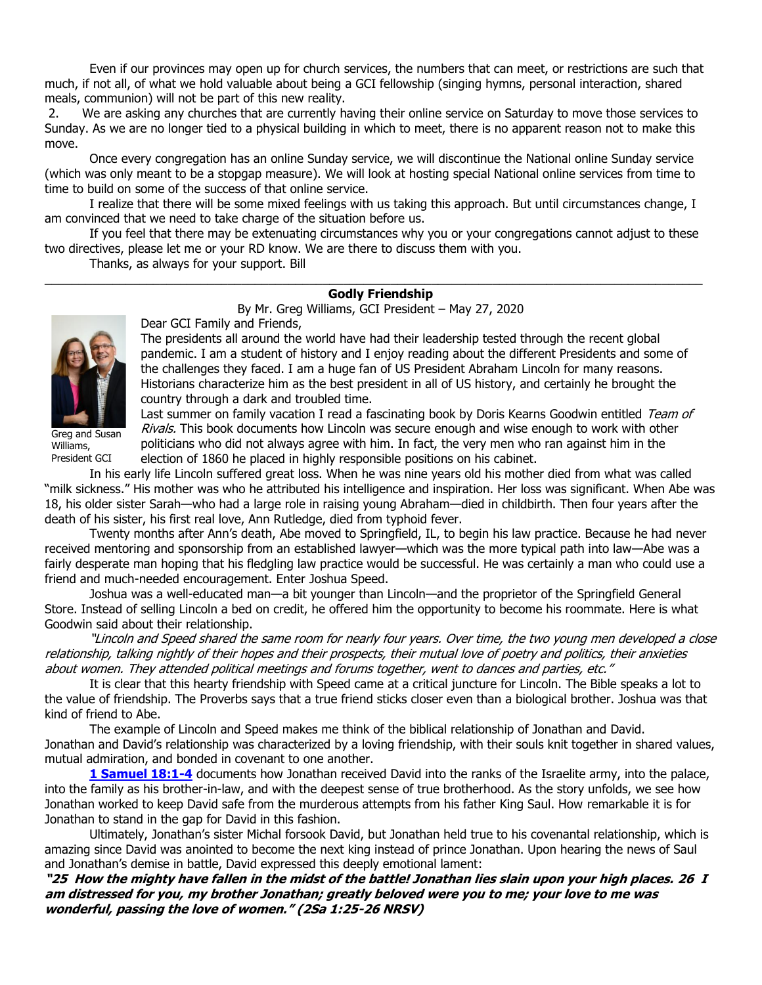Even if our provinces may open up for church services, the numbers that can meet, or restrictions are such that much, if not all, of what we hold valuable about being a GCI fellowship (singing hymns, personal interaction, shared meals, communion) will not be part of this new reality.

2. We are asking any churches that are currently having their online service on Saturday to move those services to Sunday. As we are no longer tied to a physical building in which to meet, there is no apparent reason not to make this move.

Once every congregation has an online Sunday service, we will discontinue the National online Sunday service (which was only meant to be a stopgap measure). We will look at hosting special National online services from time to time to build on some of the success of that online service.

I realize that there will be some mixed feelings with us taking this approach. But until circumstances change, I am convinced that we need to take charge of the situation before us.

If you feel that there may be extenuating circumstances why you or your congregations cannot adjust to these two directives, please let me or your RD know. We are there to discuss them with you.

Thanks, as always for your support. Bill

## $\_$  ,  $\_$  ,  $\_$  ,  $\_$  ,  $\_$  ,  $\_$  ,  $\_$  ,  $\_$  ,  $\_$  ,  $\_$  ,  $\_$  ,  $\_$  ,  $\_$  ,  $\_$  ,  $\_$  ,  $\_$  ,  $\_$  ,  $\_$  ,  $\_$  ,  $\_$  ,  $\_$  ,  $\_$  ,  $\_$  ,  $\_$  ,  $\_$  ,  $\_$  ,  $\_$  ,  $\_$  ,  $\_$  ,  $\_$  ,  $\_$  ,  $\_$  ,  $\_$  ,  $\_$  ,  $\_$  ,  $\_$  ,  $\_$  , **Godly Friendship**

By Mr. Greg Williams, GCI President – May 27, 2020



Greg and Susan Williams, President GCI

Dear GCI Family and Friends,

The presidents all around the world have had their leadership tested through the recent global pandemic. I am a student of history and I enjoy reading about the different Presidents and some of the challenges they faced. I am a huge fan of US President Abraham Lincoln for many reasons. Historians characterize him as the best president in all of US history, and certainly he brought the country through a dark and troubled time.

Last summer on family vacation I read a fascinating book by Doris Kearns Goodwin entitled Team of Rivals. This book documents how Lincoln was secure enough and wise enough to work with other politicians who did not always agree with him. In fact, the very men who ran against him in the election of 1860 he placed in highly responsible positions on his cabinet.

In his early life Lincoln suffered great loss. When he was nine years old his mother died from what was called "milk sickness." His mother was who he attributed his intelligence and inspiration. Her loss was significant. When Abe was 18, his older sister Sarah—who had a large role in raising young Abraham—died in childbirth. Then four years after the death of his sister, his first real love, Ann Rutledge, died from typhoid fever.

Twenty months after Ann's death, Abe moved to Springfield, IL, to begin his law practice. Because he had never received mentoring and sponsorship from an established lawyer—which was the more typical path into law—Abe was a fairly desperate man hoping that his fledgling law practice would be successful. He was certainly a man who could use a friend and much-needed encouragement. Enter Joshua Speed.

Joshua was a well-educated man—a bit younger than Lincoln—and the proprietor of the Springfield General Store. Instead of selling Lincoln a bed on credit, he offered him the opportunity to become his roommate. Here is what Goodwin said about their relationship.

"Lincoln and Speed shared the same room for nearly four years. Over time, the two young men developed a close relationship, talking nightly of their hopes and their prospects, their mutual love of poetry and politics, their anxieties about women. They attended political meetings and forums together, went to dances and parties, etc."

It is clear that this hearty friendship with Speed came at a critical juncture for Lincoln. The Bible speaks a lot to the value of friendship. The Proverbs says that a true friend sticks closer even than a biological brother. Joshua was that kind of friend to Abe.

The example of Lincoln and Speed makes me think of the biblical relationship of Jonathan and David. Jonathan and David's relationship was characterized by a loving friendship, with their souls knit together in shared values, mutual admiration, and bonded in covenant to one another.

**[1 Samuel 18:1-4](https://biblia.com/bible/niv/1%20Sam%2018.1-4)** documents how Jonathan received David into the ranks of the Israelite army, into the palace, into the family as his brother-in-law, and with the deepest sense of true brotherhood. As the story unfolds, we see how Jonathan worked to keep David safe from the murderous attempts from his father King Saul. How remarkable it is for Jonathan to stand in the gap for David in this fashion.

Ultimately, Jonathan's sister Michal forsook David, but Jonathan held true to his covenantal relationship, which is amazing since David was anointed to become the next king instead of prince Jonathan. Upon hearing the news of Saul and Jonathan's demise in battle, David expressed this deeply emotional lament:

**"25 How the mighty have fallen in the midst of the battle! Jonathan lies slain upon your high places. 26 I am distressed for you, my brother Jonathan; greatly beloved were you to me; your love to me was wonderful, passing the love of women." (2Sa 1:25-26 NRSV)**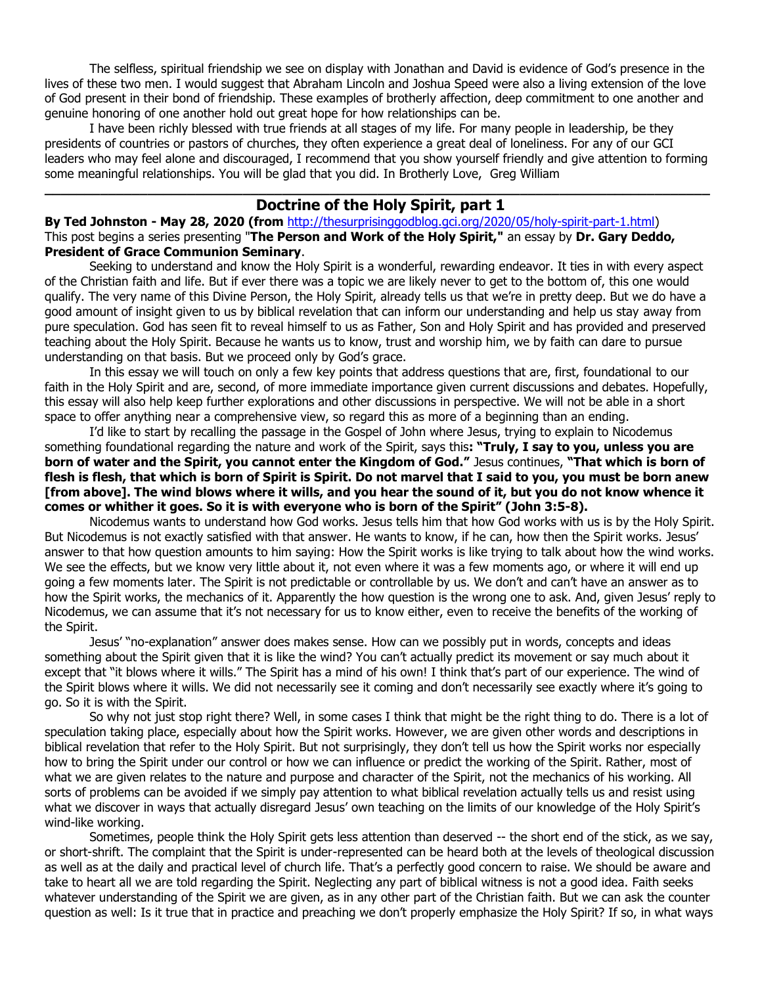The selfless, spiritual friendship we see on display with Jonathan and David is evidence of God's presence in the lives of these two men. I would suggest that Abraham Lincoln and Joshua Speed were also a living extension of the love of God present in their bond of friendship. These examples of brotherly affection, deep commitment to one another and genuine honoring of one another hold out great hope for how relationships can be.

I have been richly blessed with true friends at all stages of my life. For many people in leadership, be they presidents of countries or pastors of churches, they often experience a great deal of loneliness. For any of our GCI leaders who may feel alone and discouraged, I recommend that you show yourself friendly and give attention to forming some meaningful relationships. You will be glad that you did. In Brotherly Love, Greg William

# **\_\_\_\_\_\_\_\_\_\_\_\_\_\_\_\_\_\_\_\_\_\_\_\_\_\_\_\_\_\_\_\_\_\_\_\_\_\_\_\_\_\_\_\_\_\_\_\_\_\_\_\_\_\_\_\_\_\_\_\_\_\_\_\_\_\_\_\_\_\_\_\_\_\_\_\_\_\_\_\_\_\_\_\_ Doctrine of the Holy Spirit, part 1**

**By [Ted Johnston](https://www.blogger.com/profile/08677739021765621811) - [May 28, 2020](http://thesurprisinggodblog.gci.org/2020/05/holy-spirit-part-1.html) (from** [http://thesurprisinggodblog.gci.org/2020/05/holy-spirit-part-1.html\)](http://thesurprisinggodblog.gci.org/2020/05/holy-spirit-part-1.html) This post begins a series presenting "**The Person and Work of the Holy Spirit,"** an essay by **Dr. Gary Deddo, President of [Grace Communion Seminary](https://www.gcs.edu/)**.

Seeking to understand and know the Holy Spirit is a wonderful, rewarding endeavor. It ties in with every aspect of the Christian faith and life. But if ever there was a topic we are likely never to get to the bottom of, this one would qualify. The very name of this Divine Person, the Holy Spirit, already tells us that we're in pretty deep. But we do have a good amount of insight given to us by biblical revelation that can inform our understanding and help us stay away from pure speculation. God has seen fit to reveal himself to us as Father, Son and Holy Spirit and has provided and preserved teaching about the Holy Spirit. Because he wants us to know, trust and worship him, we by faith can dare to pursue understanding on that basis. But we proceed only by God's grace.

In this essay we will touch on only a few key points that address questions that are, first, foundational to our faith in the Holy Spirit and are, second, of more immediate importance given current discussions and debates. Hopefully, this essay will also help keep further explorations and other discussions in perspective. We will not be able in a short space to offer anything near a comprehensive view, so regard this as more of a beginning than an ending.

I'd like to start by recalling the passage in the Gospel of John where Jesus, trying to explain to Nicodemus something foundational regarding the nature and work of the Spirit, says this**: "Truly, I say to you, unless you are born of water and the Spirit, you cannot enter the Kingdom of God."** Jesus continues, **"That which is born of flesh is flesh, that which is born of Spirit is Spirit. Do not marvel that I said to you, you must be born anew [from above]. The wind blows where it wills, and you hear the sound of it, but you do not know whence it comes or whither it goes. So it is with everyone who is born of the Spirit" ([John 3:5-8\)](https://biblia.com/bible/niv/John%203.5-8).**

Nicodemus wants to understand how God works. Jesus tells him that how God works with us is by the Holy Spirit. But Nicodemus is not exactly satisfied with that answer. He wants to know, if he can, how then the Spirit works. Jesus' answer to that how question amounts to him saying: How the Spirit works is like trying to talk about how the wind works. We see the effects, but we know very little about it, not even where it was a few moments ago, or where it will end up going a few moments later. The Spirit is not predictable or controllable by us. We don't and can't have an answer as to how the Spirit works, the mechanics of it. Apparently the how question is the wrong one to ask. And, given Jesus' reply to Nicodemus, we can assume that it's not necessary for us to know either, even to receive the benefits of the working of the Spirit.

Jesus' "no-explanation" answer does makes sense. How can we possibly put in words, concepts and ideas something about the Spirit given that it is like the wind? You can't actually predict its movement or say much about it except that "it blows where it wills." The Spirit has a mind of his own! I think that's part of our experience. The wind of the Spirit blows where it wills. We did not necessarily see it coming and don't necessarily see exactly where it's going to go. So it is with the Spirit.

So why not just stop right there? Well, in some cases I think that might be the right thing to do. There is a lot of speculation taking place, especially about how the Spirit works. However, we are given other words and descriptions in biblical revelation that refer to the Holy Spirit. But not surprisingly, they don't tell us how the Spirit works nor especially how to bring the Spirit under our control or how we can influence or predict the working of the Spirit. Rather, most of what we are given relates to the nature and purpose and character of the Spirit, not the mechanics of his working. All sorts of problems can be avoided if we simply pay attention to what biblical revelation actually tells us and resist using what we discover in ways that actually disregard Jesus' own teaching on the limits of our knowledge of the Holy Spirit's wind-like working.

Sometimes, people think the Holy Spirit gets less attention than deserved -- the short end of the stick, as we say, or short-shrift. The complaint that the Spirit is under-represented can be heard both at the levels of theological discussion as well as at the daily and practical level of church life. That's a perfectly good concern to raise. We should be aware and take to heart all we are told regarding the Spirit. Neglecting any part of biblical witness is not a good idea. Faith seeks whatever understanding of the Spirit we are given, as in any other part of the Christian faith. But we can ask the counter question as well: Is it true that in practice and preaching we don't properly emphasize the Holy Spirit? If so, in what ways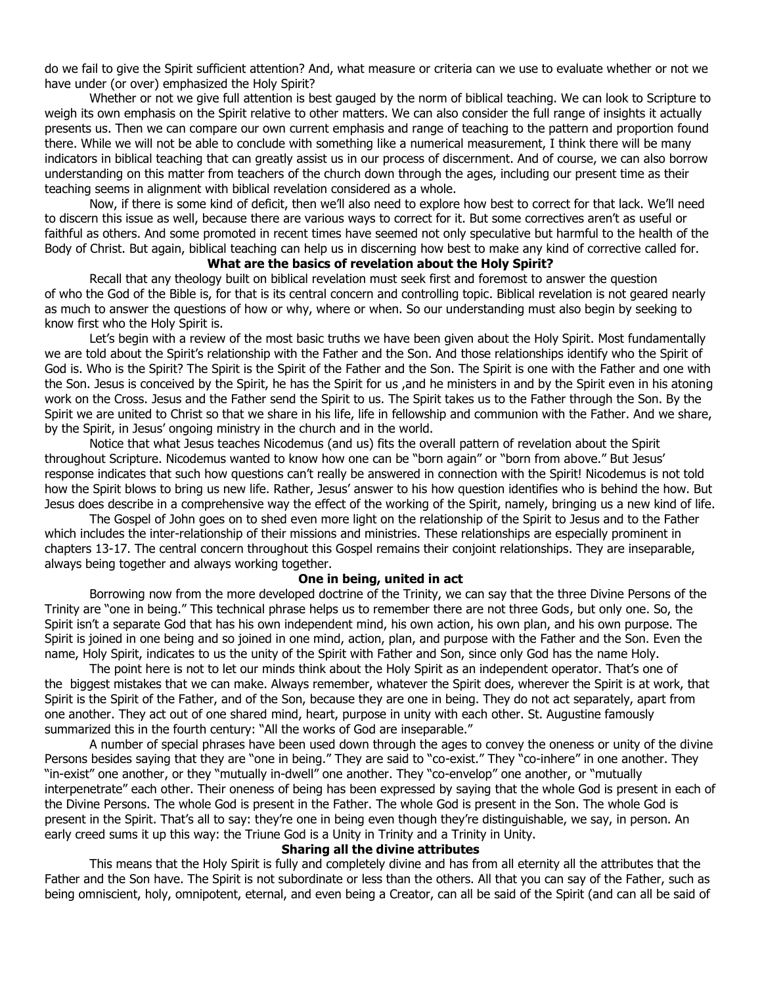do we fail to give the Spirit sufficient attention? And, what measure or criteria can we use to evaluate whether or not we have under (or over) emphasized the Holy Spirit?

Whether or not we give full attention is best gauged by the norm of biblical teaching. We can look to Scripture to weigh its own emphasis on the Spirit relative to other matters. We can also consider the full range of insights it actually presents us. Then we can compare our own current emphasis and range of teaching to the pattern and proportion found there. While we will not be able to conclude with something like a numerical measurement, I think there will be many indicators in biblical teaching that can greatly assist us in our process of discernment. And of course, we can also borrow understanding on this matter from teachers of the church down through the ages, including our present time as their teaching seems in alignment with biblical revelation considered as a whole.

Now, if there is some kind of deficit, then we'll also need to explore how best to correct for that lack. We'll need to discern this issue as well, because there are various ways to correct for it. But some correctives aren't as useful or faithful as others. And some promoted in recent times have seemed not only speculative but harmful to the health of the Body of Christ. But again, biblical teaching can help us in discerning how best to make any kind of corrective called for.

## **What are the basics of revelation about the Holy Spirit?**

Recall that any theology built on biblical revelation must seek first and foremost to answer the question of who the God of the Bible is, for that is its central concern and controlling topic. Biblical revelation is not geared nearly as much to answer the questions of how or why, where or when. So our understanding must also begin by seeking to know first who the Holy Spirit is.

Let's begin with a review of the most basic truths we have been given about the Holy Spirit. Most fundamentally we are told about the Spirit's relationship with the Father and the Son. And those relationships identify who the Spirit of God is. Who is the Spirit? The Spirit is the Spirit of the Father and the Son. The Spirit is one with the Father and one with the Son. Jesus is conceived by the Spirit, he has the Spirit for us ,and he ministers in and by the Spirit even in his atoning work on the Cross. Jesus and the Father send the Spirit to us. The Spirit takes us to the Father through the Son. By the Spirit we are united to Christ so that we share in his life, life in fellowship and communion with the Father. And we share, by the Spirit, in Jesus' ongoing ministry in the church and in the world.

Notice that what Jesus teaches Nicodemus (and us) fits the overall pattern of revelation about the Spirit throughout Scripture. Nicodemus wanted to know how one can be "born again" or "born from above." But Jesus' response indicates that such how questions can't really be answered in connection with the Spirit! Nicodemus is not told how the Spirit blows to bring us new life. Rather, Jesus' answer to his how question identifies who is behind the how. But Jesus does describe in a comprehensive way the effect of the working of the Spirit, namely, bringing us a new kind of life.

The Gospel of John goes on to shed even more light on the relationship of the Spirit to Jesus and to the Father which includes the inter-relationship of their missions and ministries. These relationships are especially prominent in chapters 13-17. The central concern throughout this Gospel remains their conjoint relationships. They are inseparable, always being together and always working together.

#### **One in being, united in act**

Borrowing now from the more developed doctrine of the Trinity, we can say that the three Divine Persons of the Trinity are "one in being." This technical phrase helps us to remember there are not three Gods, but only one. So, the Spirit isn't a separate God that has his own independent mind, his own action, his own plan, and his own purpose. The Spirit is joined in one being and so joined in one mind, action, plan, and purpose with the Father and the Son. Even the name, Holy Spirit, indicates to us the unity of the Spirit with Father and Son, since only God has the name Holy.

The point here is not to let our minds think about the Holy Spirit as an independent operator. That's one of the biggest mistakes that we can make. Always remember, whatever the Spirit does, wherever the Spirit is at work, that Spirit is the Spirit of the Father, and of the Son, because they are one in being. They do not act separately, apart from one another. They act out of one shared mind, heart, purpose in unity with each other. St. Augustine famously summarized this in the fourth century: "All the works of God are inseparable."

A number of special phrases have been used down through the ages to convey the oneness or unity of the divine Persons besides saying that they are "one in being." They are said to "co-exist." They "co-inhere" in one another. They "in-exist" one another, or they "mutually in-dwell" one another. They "co-envelop" one another, or "mutually interpenetrate" each other. Their oneness of being has been expressed by saying that the whole God is present in each of the Divine Persons. The whole God is present in the Father. The whole God is present in the Son. The whole God is present in the Spirit. That's all to say: they're one in being even though they're distinguishable, we say, in person. An early creed sums it up this way: the Triune God is a Unity in Trinity and a Trinity in Unity.

## **Sharing all the divine attributes**

This means that the Holy Spirit is fully and completely divine and has from all eternity all the attributes that the Father and the Son have. The Spirit is not subordinate or less than the others. All that you can say of the Father, such as being omniscient, holy, omnipotent, eternal, and even being a Creator, can all be said of the Spirit (and can all be said of